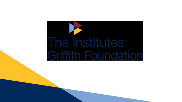# The Institutes<sup>®</sup> **Griffith Foundation**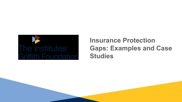

#### **Insurance Protection Gaps: Examples and Case Studies**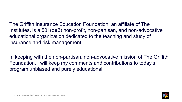The Griffith Insurance Education Foundation, an affiliate of The Institutes, is a 501(c)(3) non-profit, non-partisan, and non-advocative educational organization dedicated to the teaching and study of insurance and risk management.

In keeping with the non-partisan, non-advocative mission of The Griffith Foundation, I will keep my comments and contributions to today's program unbiased and purely educational.

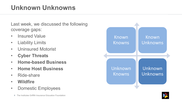# **Unknown Unknowns**

Last week, we discussed the following coverage gaps:

- Insured Value
- Liability Limits
- Uninsured Motorist
- **Cyber Threats**
- **Home-based Business**
- **Home Host Business**
- Ride-share
- **Wildfire**
- Domestic Employees





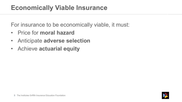#### **Economically Viable Insurance**

For insurance to be economically viable, it must:

- Price for **moral hazard**
- Anticipate **adverse selection**
- Achieve **actuarial equity**

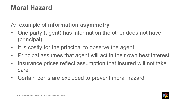An example of **information asymmetry**

- One party (agent) has information the other does not have (principal)
- It is costly for the principal to observe the agent
- Principal assumes that agent will act in their own best interest
- Insurance prices reflect assumption that insured will not take care
- Certain perils are excluded to prevent moral hazard

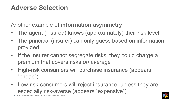Another example of **information asymmetry**

- The agent (insured) knows (approximately) their risk level
- The principal (insurer) can only guess based on information provided
- If the insurer cannot segregate risks, they could charge a premium that covers risks *on average*
- High-risk consumers will purchase insurance (appears "cheap")
- Low-risk consumers will reject insurance, unless they are especially risk-averse (appears "expensive")

7 The Institutes Griffith Insurance Education Foundation

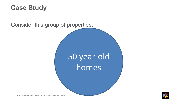#### **Case Study**



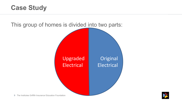#### **Case Study**



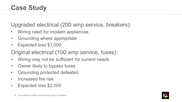#### **Case Study**

Upgraded electrical (200 amp service, breakers):

- Wiring rated for modern appliances
- Grounding where appropriate
- Expected loss \$1,000
- Original electrical (100 amp service, fuses):
- Wiring may not be sufficient for current needs
- Owner likely to bypass fuses
- Grounding protected defeated
- Increased fire risk
- Expected loss \$2,000

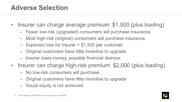#### **Adverse Selection**

- Insurer can charge average premium: \$1,500 (plus loading)
	- Fewer low-risk (upgraded) consumers will purchase insurance
	- Most high-risk (original) consumers will purchase insurance
	- Expected loss for insurer > \$1,500 per customer
	- Original customers have little incentive to upgrade
	- Insurer loses money, possible financial distress
- Insurer can charge high-risk premium: \$2,000 (plus loading)
	- No low-risk consumers will purchase
	- Original customers have little incentive to upgrade
	- Social equity is not achieved

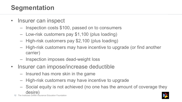#### **Segmentation**

- Insurer can inspect
	- Inspection costs \$100, passed on to consumers
	- Low-risk customers pay \$1,100 (plus loading)
	- High-risk customers pay \$2,100 (plus loading)
	- High-risk customers may have incentive to upgrade (or find another carrier)
	- Inspection imposes dead-weight loss
- Insurer can impose/increase deductible
	- Insured has more skin in the game
	- High-risk customers may have incentive to upgrade
	- Social equity is not achieved (no one has the amount of coverage they desire)



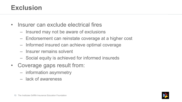#### **Exclusion**

- Insurer can exclude electrical fires
	- Insured may not be aware of exclusions
	- Endorsement can reinstate coverage at a higher cost
	- Informed insured can achieve optimal coverage
	- Insurer remains solvent
	- Social equity is achieved for informed insureds
- Coverage gaps result from:
	- information asymmetry
	- lack of awareness

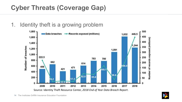# **Cyber Threats (Coverage Gap)**

#### 1. Identity theft is a growing problem



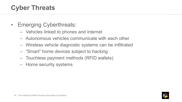# **Cyber Threats**

- Emerging Cyberthreats:
	- Vehicles linked to phones and internet
	- Autonomous vehicles communicate with each other
	- Wireless vehicle diagnostic systems can be infiltrated
	- "Smart" home devices subject to hacking
	- Touchless payment methods (RFID wallets)
	- Home security systems

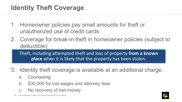- 1. Homeowner policies pay small amounts for theft or unauthorized use of credit cards
- 2. Coverage for break-in theft in homeowner policies (subject to deductible)

Theft, including attempted theft and loss of property **from a known place** when it is likely that the property has been stolen.

- 3. Identity theft coverage is available at an additional charge.
	- a. Counseling
	- b. \$30,000 for lost wages and attorney fees
	- c. No recovery of lost money

16 The Institutes Griffith Insurance Education Foundation

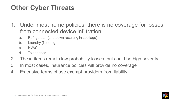# **Other Cyber Threats**

- 1. Under most home policies, there is no coverage for losses from connected device infiltration
	- a. Refrigerator (shutdown resulting in spoilage)
	- b. Laundry (flooding)
	- c. HVAC
	- d. Telephones
- 2. These items remain low probability losses, but could be high severity
- 3. In most cases, insurance policies will provide no coverage
- 4. Extensive terms of use exempt providers from liability

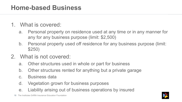#### **Home-based Business**

- 1. What is covered:
	- a. Personal property on residence used at any time or in any manner for any for any business purpose (limit: \$2,500)
	- b. Personal property used off residence for any business purpose (limit: \$250)
- 2. What is not covered:
	- a. Other structures used in whole or part for business
	- b. Other structures rented for anything but a private garage
	- c. Business data
	- d. Vegetation grown for business purposes
	- e. Liability arising out of business operations by insured

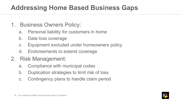#### **Addressing Home Based Business Gaps**

- 1. Business Owners Policy:
	- a. Personal liability for customers in home
	- b. Data loss coverage
	- c. Equipment excluded under homeowners policy
	- d. Endorsements to extend coverage
- 2. Risk Management:
	- a. Compliance with municipal codes
	- b. Duplication strategies to limit risk of loss
	- c. Contingency plans to handle claim period

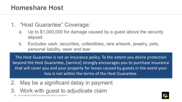#### **Homeshare Host**

- 1. "Host Guarantee" Coverage:
	- a. Up to \$1,000,000 for damage caused by a guest above the security deposit
	- b. Excludes cash, securities, collectibles, rare artwork, jewelry, pets, personal liability, wear and tear

The Host Guarantee is not an insurance policy. To the extent you desire protection beyond the Host Guarantee, [service] strongly encourages you to purchase insurance that will cover you and your property for losses caused by guests in the event your loss is not within the terms of the Host Guarantee.

- 2. May be a significant delay in payment
- 3. Work with guest to adjudicate claim

The Institutes Griffith Insurance Education Foundation

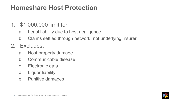#### **Homeshare Host Protection**

- 1. \$1,000,000 limit for:
	- a. Legal liability due to host negligence
	- b. Claims settled through network, not underlying insurer
- 2. Excludes:
	- a. Host property damage
	- b. Communicable disease
	- c. Electronic data
	- d. Liquor liability
	- e. Punitive damages

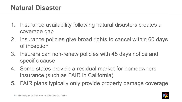#### **Natural Disaster**

- 1. Insurance availability following natural disasters creates a coverage gap
- 2. Insurance policies give broad rights to cancel within 60 days of inception
- 3. Insurers can non-renew policies with 45 days notice and specific cause
- 4. Some states provide a residual market for homeowners insurance (such as FAIR in California)
- 5. FAIR plans typically only provide property damage coverage

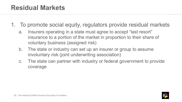#### **Residual Markets**

- 1. To promote social equity, regulators provide residual markets
	- a. Insurers operating in a state must agree to accept "last resort" insurance to a portion of the market in proportion to their share of voluntary business (assigned risk)
	- b. The state or industry can set up an insurer or group to assume involuntary risk (joint underwriting association)
	- c. The state can partner with industry or federal government to provide coverage

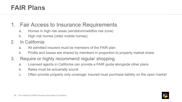#### **FAIR Plans**

#### 1. Fair Access to Insurance Requirements

- a. Homes in high risk areas (windstorm/wildfire risk zone)
- b. High risk homes (older mobile homes)
- 2. In California:
	- a. All admitted insurers must be members of the FAIR plan
	- b. Profits and losses are shared by members in proportion to property market share
- 3. Require or highly recommend regular shopping
	- a. Licensed agents in California can provide a FAIR quote alongside other plans
	- b. Rates must be actuarially sound
	- c. Often provide property only coverage; insured must purchase liability on the open market

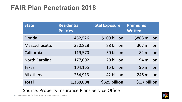| <b>State</b>          | <b>Residential</b><br><b>Policies</b> | <b>Total Exposure</b> | <b>Premiums</b><br><b>Written</b> |
|-----------------------|---------------------------------------|-----------------------|-----------------------------------|
| Florida               | 452,526                               | \$109 billion         | \$868 million                     |
| <b>Massachusetts</b>  | 230,828                               | 88 billion            | 307 million                       |
| California            | 119,570                               | 50 billion            | 82 million                        |
| <b>North Carolina</b> | 177,002                               | 20 billion            | 94 million                        |
| <b>Texas</b>          | 104,165                               | 15 billion            | 96 million                        |
| All others            | 254,913                               | 42 billion            | 246 million                       |
| <b>Total</b>          | 1,339,004                             | \$325 billion         | \$1.7 billion                     |

#### Source: Property Insurance Plans Service Office

25 The Institutes Griffith Insurance Education Foundation

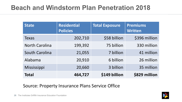#### **Beach and Windstorm Plan Penetration 2018**

| <b>State</b>          | <b>Residential</b><br><b>Policies</b> | <b>Total Exposure</b> | <b>Premiums</b><br><b>Written</b> |
|-----------------------|---------------------------------------|-----------------------|-----------------------------------|
| <b>Texas</b>          | 202,710                               | \$58 billion          | \$396 million                     |
| <b>North Carolina</b> | 199,392                               | 75 billion            | 330 million                       |
| South Carolina        | 21,055                                | 7 billion             | 41 million                        |
| Alabama               | 20,910                                | 6 billion             | 26 million                        |
| Mississippi           | 20,660                                | 3 billion             | 35 million                        |
| <b>Total</b>          | 464,727                               | \$149 billion         | \$829 million                     |

#### Source: Property Insurance Plans Service Office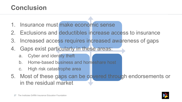#### **Conclusion**

- 1. Insurance must make economic sense
- 2. Exclusions and deductibles increase access to insurance
- 3. Increased access requires increased awareness of gaps
- 4. Gaps exist particularly in these areas:
	- a. Cyber and identity theft
	- b. Home-based business and homeshare host
	- c. High risk catastrophe area
- 5. Most of these gaps can be covered through endorsements or in the residual market